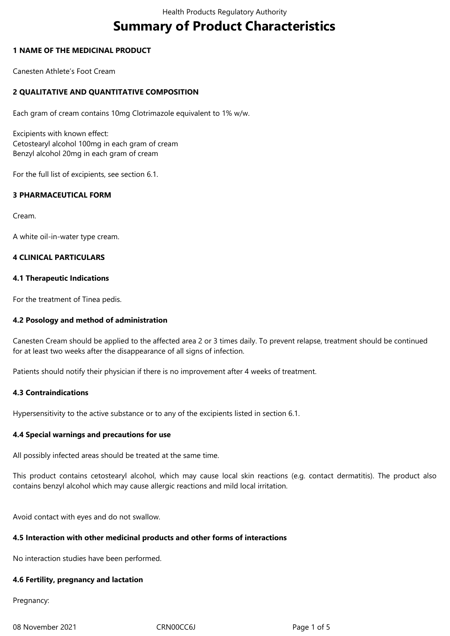# **Summary of Product Characteristics**

# **1 NAME OF THE MEDICINAL PRODUCT**

Canesten Athlete's Foot Cream

# **2 QUALITATIVE AND QUANTITATIVE COMPOSITION**

Each gram of cream contains 10mg Clotrimazole equivalent to 1% w/w.

Excipients with known effect: Cetostearyl alcohol 100mg in each gram of cream Benzyl alcohol 20mg in each gram of cream

For the full list of excipients, see section 6.1.

# **3 PHARMACEUTICAL FORM**

Cream.

A white oil-in-water type cream.

# **4 CLINICAL PARTICULARS**

#### **4.1 Therapeutic Indications**

For the treatment of Tinea pedis.

## **4.2 Posology and method of administration**

Canesten Cream should be applied to the affected area 2 or 3 times daily. To prevent relapse, treatment should be continued for at least two weeks after the disappearance of all signs of infection.

Patients should notify their physician if there is no improvement after 4 weeks of treatment.

# **4.3 Contraindications**

Hypersensitivity to the active substance or to any of the excipients listed in section 6.1.

#### **4.4 Special warnings and precautions for use**

All possibly infected areas should be treated at the same time.

This product contains cetostearyl alcohol, which may cause local skin reactions (e.g. contact dermatitis). The product also contains benzyl alcohol which may cause allergic reactions and mild local irritation.

Avoid contact with eyes and do not swallow.

#### **4.5 Interaction with other medicinal products and other forms of interactions**

No interaction studies have been performed.

#### **4.6 Fertility, pregnancy and lactation**

Pregnancy:

08 November 2021 CRN00CC6J Page 1 of 5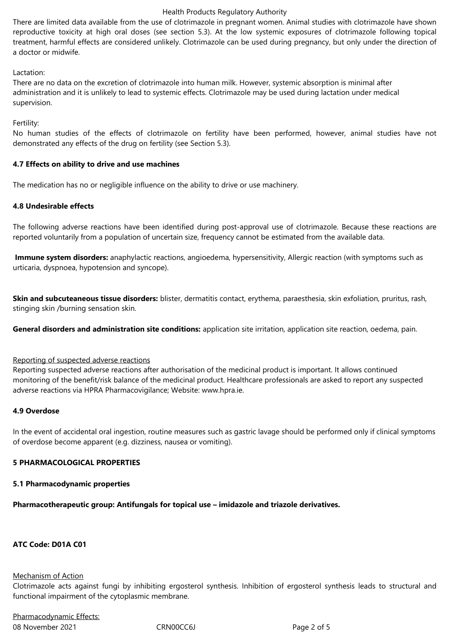#### Health Products Regulatory Authority

There are limited data available from the use of clotrimazole in pregnant women. Animal studies with clotrimazole have shown reproductive toxicity at high oral doses (see section 5.3). At the low systemic exposures of clotrimazole following topical treatment, harmful effects are considered unlikely. Clotrimazole can be used during pregnancy, but only under the direction of a doctor or midwife.

#### Lactation:

There are no data on the excretion of clotrimazole into human milk. However, systemic absorption is minimal after administration and it is unlikely to lead to systemic effects. Clotrimazole may be used during lactation under medical supervision.

Fertility:

No human studies of the effects of clotrimazole on fertility have been performed, however, animal studies have not demonstrated any effects of the drug on fertility (see Section 5.3).

#### **4.7 Effects on ability to drive and use machines**

The medication has no or negligible influence on the ability to drive or use machinery.

#### **4.8 Undesirable effects**

The following adverse reactions have been identified during post-approval use of clotrimazole. Because these reactions are reported voluntarily from a population of uncertain size, frequency cannot be estimated from the available data.

**Immune system disorders:** anaphylactic reactions, angioedema, hypersensitivity, Allergic reaction (with symptoms such as urticaria, dyspnoea, hypotension and syncope).

**Skin and subcuteaneous tissue disorders:** blister, dermatitis contact, erythema, paraesthesia, skin exfoliation, pruritus, rash, stinging skin /burning sensation skin.

**General disorders and administration site conditions:** application site irritation, application site reaction, oedema, pain.

#### Reporting of suspected adverse reactions

Reporting suspected adverse reactions after authorisation of the medicinal product is important. It allows continued monitoring of the benefit/risk balance of the medicinal product. Healthcare professionals are asked to report any suspected adverse reactions via HPRA Pharmacovigilance; Website: www.hpra.ie.

#### **4.9 Overdose**

In the event of accidental oral ingestion, routine measures such as gastric lavage should be performed only if clinical symptoms of overdose become apparent (e.g. dizziness, nausea or vomiting).

#### **5 PHARMACOLOGICAL PROPERTIES**

#### **5.1 Pharmacodynamic properties**

**Pharmacotherapeutic group: Antifungals for topical use – imidazole and triazole derivatives.**

#### **ATC Code: D01A C01**

#### Mechanism of Action

Clotrimazole acts against fungi by inhibiting ergosterol synthesis. Inhibition of ergosterol synthesis leads to structural and functional impairment of the cytoplasmic membrane.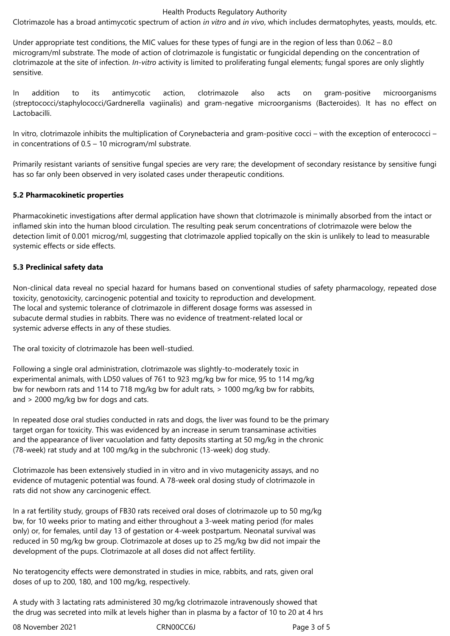#### Health Products Regulatory Authority

Clotrimazole has a broad antimycotic spectrum of action *in vitro* and *in vivo*, which includes dermatophytes, yeasts, moulds, etc.

Under appropriate test conditions, the MIC values for these types of fungi are in the region of less than 0.062 – 8.0 microgram/ml substrate. The mode of action of clotrimazole is fungistatic or fungicidal depending on the concentration of clotrimazole at the site of infection. *In-vitro* activity is limited to proliferating fungal elements; fungal spores are only slightly sensitive.

In addition to its antimycotic action, clotrimazole also acts on gram-positive microorganisms (streptococci/staphylococci/Gardnerella vagiinalis) and gram-negative microorganisms (Bacteroides). It has no effect on Lactobacilli.

In vitro, clotrimazole inhibits the multiplication of Corynebacteria and gram-positive cocci – with the exception of enterococci – in concentrations of 0.5 – 10 microgram/ml substrate.

Primarily resistant variants of sensitive fungal species are very rare; the development of secondary resistance by sensitive fungi has so far only been observed in very isolated cases under therapeutic conditions.

#### **5.2 Pharmacokinetic properties**

Pharmacokinetic investigations after dermal application have shown that clotrimazole is minimally absorbed from the intact or inflamed skin into the human blood circulation. The resulting peak serum concentrations of clotrimazole were below the detection limit of 0.001 microg/ml, suggesting that clotrimazole applied topically on the skin is unlikely to lead to measurable systemic effects or side effects.

# **5.3 Preclinical safety data**

Non-clinical data reveal no special hazard for humans based on conventional studies of safety pharmacology, repeated dose toxicity, genotoxicity, carcinogenic potential and toxicity to reproduction and development. The local and systemic tolerance of clotrimazole in different dosage forms was assessed in subacute dermal studies in rabbits. There was no evidence of treatment-related local or systemic adverse effects in any of these studies.

The oral toxicity of clotrimazole has been well-studied.

Following a single oral administration, clotrimazole was slightly-to-moderately toxic in experimental animals, with LD50 values of 761 to 923 mg/kg bw for mice, 95 to 114 mg/kg bw for newborn rats and 114 to 718 mg/kg bw for adult rats, > 1000 mg/kg bw for rabbits, and > 2000 mg/kg bw for dogs and cats.

In repeated dose oral studies conducted in rats and dogs, the liver was found to be the primary target organ for toxicity. This was evidenced by an increase in serum transaminase activities and the appearance of liver vacuolation and fatty deposits starting at 50 mg/kg in the chronic (78-week) rat study and at 100 mg/kg in the subchronic (13-week) dog study.

Clotrimazole has been extensively studied in in vitro and in vivo mutagenicity assays, and no evidence of mutagenic potential was found. A 78-week oral dosing study of clotrimazole in rats did not show any carcinogenic effect.

In a rat fertility study, groups of FB30 rats received oral doses of clotrimazole up to 50 mg/kg bw, for 10 weeks prior to mating and either throughout a 3-week mating period (for males only) or, for females, until day 13 of gestation or 4-week postpartum. Neonatal survival was reduced in 50 mg/kg bw group. Clotrimazole at doses up to 25 mg/kg bw did not impair the development of the pups. Clotrimazole at all doses did not affect fertility.

No teratogencity effects were demonstrated in studies in mice, rabbits, and rats, given oral doses of up to 200, 180, and 100 mg/kg, respectively.

A study with 3 lactating rats administered 30 mg/kg clotrimazole intravenously showed that the drug was secreted into milk at levels higher than in plasma by a factor of 10 to 20 at 4 hrs

08 November 2021 CRN00CC6J Page 3 of 5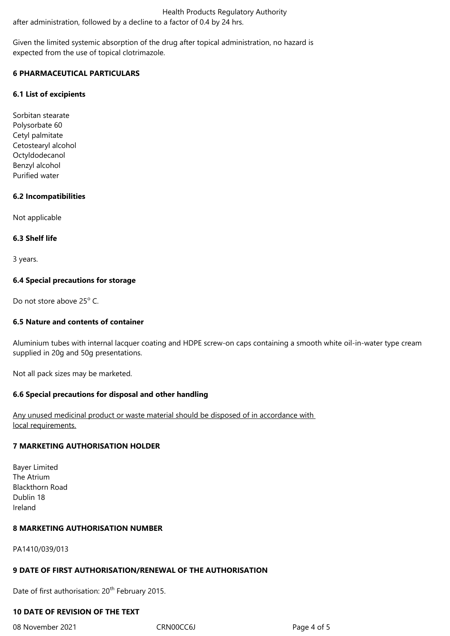Health Products Regulatory Authority after administration, followed by a decline to a factor of 0.4 by 24 hrs.

Given the limited systemic absorption of the drug after topical administration, no hazard is expected from the use of topical clotrimazole.

# **6 PHARMACEUTICAL PARTICULARS**

#### **6.1 List of excipients**

Sorbitan stearate Polysorbate 60 Cetyl palmitate Cetostearyl alcohol Octyldodecanol Benzyl alcohol Purified water

#### **6.2 Incompatibilities**

Not applicable

#### **6.3 Shelf life**

3 years.

#### **6.4 Special precautions for storage**

Do not store above 25° C.

# **6.5 Nature and contents of container**

Aluminium tubes with internal lacquer coating and HDPE screw-on caps containing a smooth white oil-in-water type cream supplied in 20g and 50g presentations.

Not all pack sizes may be marketed.

#### **6.6 Special precautions for disposal and other handling**

Any unused medicinal product or waste material should be disposed of in accordance with local requirements.

#### **7 MARKETING AUTHORISATION HOLDER**

Bayer Limited The Atrium Blackthorn Road Dublin 18 Ireland

#### **8 MARKETING AUTHORISATION NUMBER**

PA1410/039/013

# **9 DATE OF FIRST AUTHORISATION/RENEWAL OF THE AUTHORISATION**

Date of first authorisation: 20<sup>th</sup> February 2015.

# **10 DATE OF REVISION OF THE TEXT**

08 November 2021 CRN00CC6J Page 4 of 5